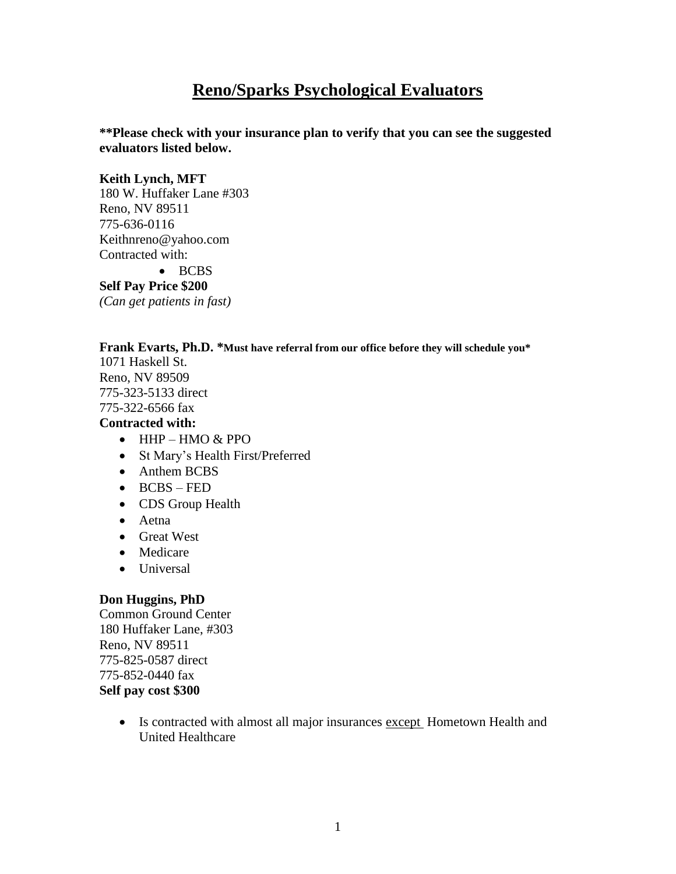# **Reno/Sparks Psychological Evaluators**

**\*\*Please check with your insurance plan to verify that you can see the suggested evaluators listed below.**

#### **Keith Lynch, MFT**

180 W. Huffaker Lane #303 Reno, NV 89511 775-636-0116 Keithnreno@yahoo.com Contracted with: • BCBS

**Self Pay Price \$200** *(Can get patients in fast)* 

#### **Frank Evarts, Ph.D. \*Must have referral from our office before they will schedule you\***

1071 Haskell St. Reno, NV 89509 775-323-5133 direct 775-322-6566 fax

#### **Contracted with:**

- $\bullet$  HHP HMO & PPO
- St Mary's Health First/Preferred
- Anthem BCBS
- BCBS FED
- CDS Group Health
- Aetna
- **Great West**
- Medicare
- Universal

# **Don Huggins, PhD**

Common Ground Center 180 Huffaker Lane, #303 Reno, NV 89511 775-825-0587 direct 775-852-0440 fax **Self pay cost \$300**

> • Is contracted with almost all major insurances except Hometown Health and United Healthcare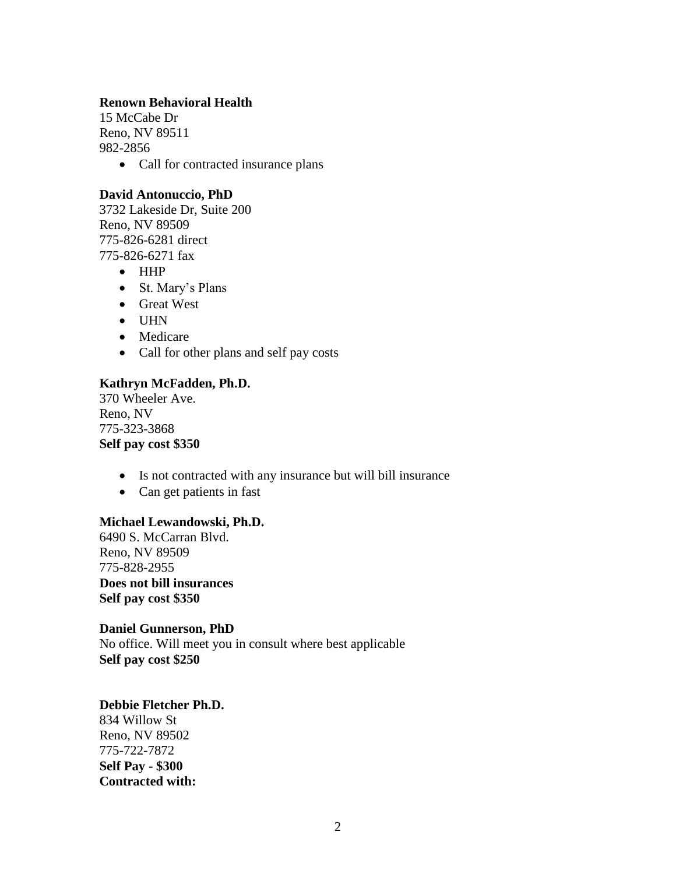#### **Renown Behavioral Health**

15 McCabe Dr Reno, NV 89511 982-2856

• Call for contracted insurance plans

#### **David Antonuccio, PhD**

3732 Lakeside Dr, Suite 200 Reno, NV 89509 775-826-6281 direct 775-826-6271 fax

- HHP
- St. Mary's Plans
- Great West
- $\bullet$  UHN
- Medicare
- Call for other plans and self pay costs

#### **Kathryn McFadden, Ph.D.**

370 Wheeler Ave. Reno, NV 775-323-3868 **Self pay cost \$350**

- Is not contracted with any insurance but will bill insurance
- Can get patients in fast

# **Michael Lewandowski, Ph.D.**

6490 S. McCarran Blvd. Reno, NV 89509 775-828-2955 **Does not bill insurances Self pay cost \$350**

#### **Daniel Gunnerson, PhD**  No office. Will meet you in consult where best applicable **Self pay cost \$250**

#### **Debbie Fletcher Ph.D.**

834 Willow St Reno, NV 89502 775-722-7872 **Self Pay - \$300 Contracted with:**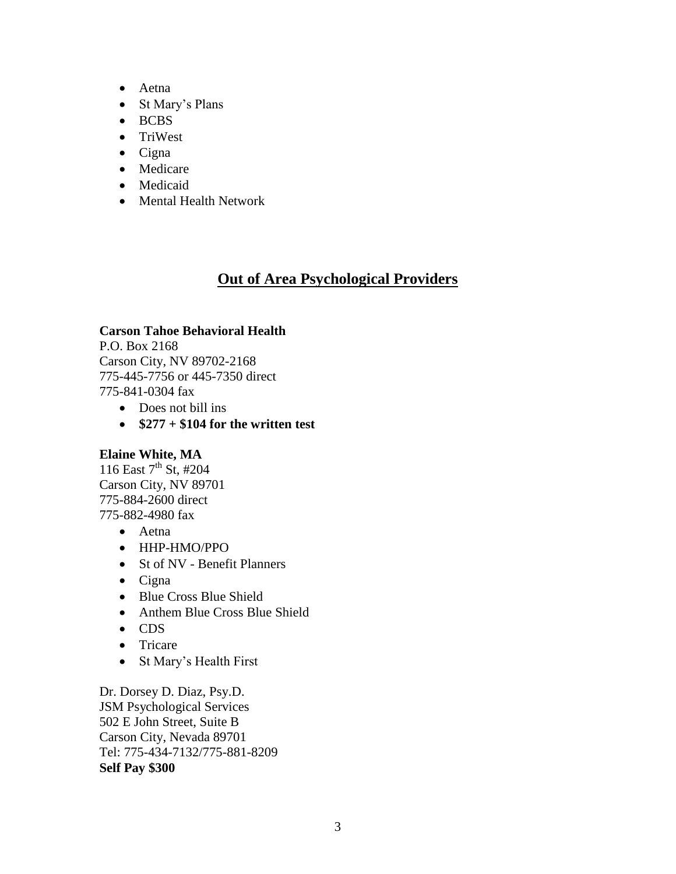- Aetna
- St Mary's Plans
- BCBS
- TriWest
- $\bullet$  Cigna
- Medicare
- Medicaid
- Mental Health Network

# **Out of Area Psychological Providers**

# **Carson Tahoe Behavioral Health**

P.O. Box 2168 Carson City, NV 89702-2168 775-445-7756 or 445-7350 direct 775-841-0304 fax

- Does not bill ins
- $\bullet$  \$277 + \$104 for the written test

# **Elaine White, MA**

116 East  $7^{th}$  St, #204 Carson City, NV 89701 775-884-2600 direct 775-882-4980 fax

- Aetna
- HHP-HMO/PPO
- St of NV Benefit Planners
- $\bullet$  Cigna
- Blue Cross Blue Shield
- Anthem Blue Cross Blue Shield
- CDS
- Tricare
- St Mary's Health First

Dr. Dorsey D. Diaz, Psy.D. JSM Psychological Services 502 E John Street, Suite B Carson City, Nevada 89701 Tel: 775-434-7132/775-881-8209 **Self Pay \$300**